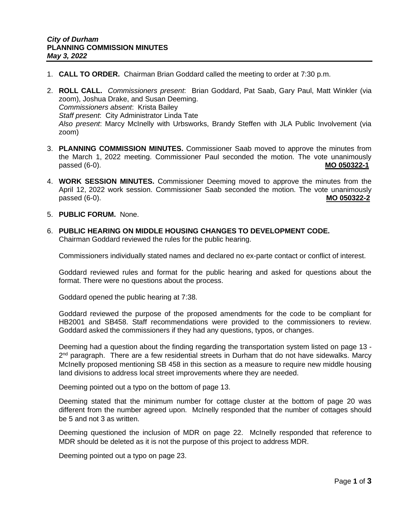- 1. **CALL TO ORDER.** Chairman Brian Goddard called the meeting to order at 7:30 p.m.
- 2. **ROLL CALL.** *Commissioners present*: Brian Goddard, Pat Saab, Gary Paul, Matt Winkler (via zoom), Joshua Drake, and Susan Deeming. *Commissioners absent*: Krista Bailey *Staff present*: City Administrator Linda Tate *Also present*: Marcy McInelly with Urbsworks, Brandy Steffen with JLA Public Involvement (via zoom)
- 3. **PLANNING COMMISSION MINUTES.** Commissioner Saab moved to approve the minutes from the March 1, 2022 meeting. Commissioner Paul seconded the motion. The vote unanimously passed (6-0). **MO 050322-1**
- 4. **WORK SESSION MINUTES.** Commissioner Deeming moved to approve the minutes from the April 12, 2022 work session. Commissioner Saab seconded the motion. The vote unanimously passed (6-0). **MO 050322-2**
- 5. **PUBLIC FORUM.** None.
- 6. **PUBLIC HEARING ON MIDDLE HOUSING CHANGES TO DEVELOPMENT CODE.** Chairman Goddard reviewed the rules for the public hearing.

Commissioners individually stated names and declared no ex-parte contact or conflict of interest.

Goddard reviewed rules and format for the public hearing and asked for questions about the format. There were no questions about the process.

Goddard opened the public hearing at 7:38.

Goddard reviewed the purpose of the proposed amendments for the code to be compliant for HB2001 and SB458. Staff recommendations were provided to the commissioners to review. Goddard asked the commissioners if they had any questions, typos, or changes.

Deeming had a question about the finding regarding the transportation system listed on page 13 - 2<sup>nd</sup> paragraph. There are a few residential streets in Durham that do not have sidewalks. Marcy McInelly proposed mentioning SB 458 in this section as a measure to require new middle housing land divisions to address local street improvements where they are needed.

Deeming pointed out a typo on the bottom of page 13.

Deeming stated that the minimum number for cottage cluster at the bottom of page 20 was different from the number agreed upon. McInelly responded that the number of cottages should be 5 and not 3 as written.

Deeming questioned the inclusion of MDR on page 22. McInelly responded that reference to MDR should be deleted as it is not the purpose of this project to address MDR.

Deeming pointed out a typo on page 23.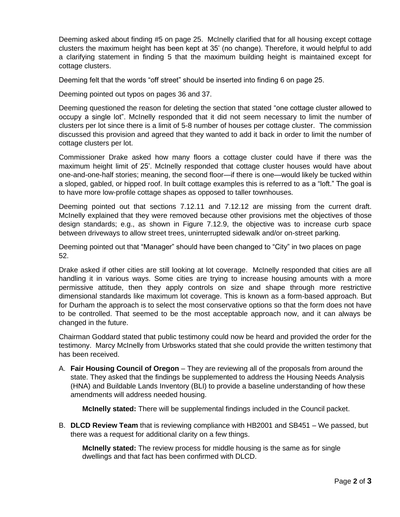Deeming asked about finding #5 on page 25. McInelly clarified that for all housing except cottage clusters the maximum height has been kept at 35' (no change). Therefore, it would helpful to add a clarifying statement in finding 5 that the maximum building height is maintained except for cottage clusters.

Deeming felt that the words "off street" should be inserted into finding 6 on page 25.

Deeming pointed out typos on pages 36 and 37.

Deeming questioned the reason for deleting the section that stated "one cottage cluster allowed to occupy a single lot". McInelly responded that it did not seem necessary to limit the number of clusters per lot since there is a limit of 5-8 number of houses per cottage cluster. The commission discussed this provision and agreed that they wanted to add it back in order to limit the number of cottage clusters per lot.

Commissioner Drake asked how many floors a cottage cluster could have if there was the maximum height limit of 25'. McInelly responded that cottage cluster houses would have about one-and-one-half stories; meaning, the second floor—if there is one—would likely be tucked within a sloped, gabled, or hipped roof. In built cottage examples this is referred to as a "loft." The goal is to have more low-profile cottage shapes as opposed to taller townhouses.

Deeming pointed out that sections 7.12.11 and 7.12.12 are missing from the current draft. McInelly explained that they were removed because other provisions met the objectives of those design standards; e.g., as shown in Figure 7.12.9, the objective was to increase curb space between driveways to allow street trees, uninterrupted sidewalk and/or on-street parking.

Deeming pointed out that "Manager" should have been changed to "City" in two places on page 52.

Drake asked if other cities are still looking at lot coverage. McInelly responded that cities are all handling it in various ways. Some cities are trying to increase housing amounts with a more permissive attitude, then they apply controls on size and shape through more restrictive dimensional standards like maximum lot coverage. This is known as a form-based approach. But for Durham the approach is to select the most conservative options so that the form does not have to be controlled. That seemed to be the most acceptable approach now, and it can always be changed in the future.

Chairman Goddard stated that public testimony could now be heard and provided the order for the testimony. Marcy McInelly from Urbsworks stated that she could provide the written testimony that has been received.

A. **Fair Housing Council of Oregon** – They are reviewing all of the proposals from around the state. They asked that the findings be supplemented to address the Housing Needs Analysis (HNA) and Buildable Lands Inventory (BLI) to provide a baseline understanding of how these amendments will address needed housing.

**McInelly stated:** There will be supplemental findings included in the Council packet.

B. **DLCD Review Team** that is reviewing compliance with HB2001 and SB451 – We passed, but there was a request for additional clarity on a few things.

**McInelly stated:** The review process for middle housing is the same as for single dwellings and that fact has been confirmed with DLCD.